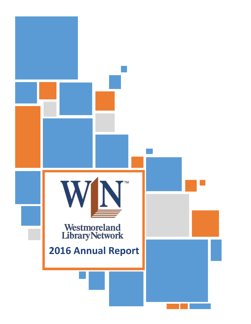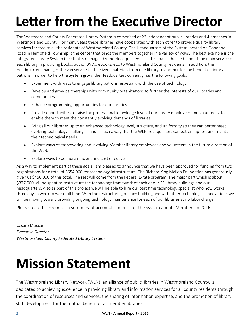# **Letter from the Executive Director**

The Westmoreland County Federated Library System is comprised of 22 independent public libraries and 4 branches in Westmoreland County. For many years these libraries have cooperated with each other to provide quality library services for free to all the residents of Westmoreland County. The Headquarters of the System located on Donohoe Road in Hempfield Township is the center that binds the members together in a variety of ways. The best example is the Integrated Library System (ILS) that is managed by the Headquarters. It is this that is the life blood of the main service of each library in providing books, audio, DVDs, eBooks, etc. to Westmoreland County residents. In addition, the Headquarters manages the van service that delivers materials from one library to another for the benefit of library patrons. In order to help the System grow, the Headquarters currently has the following goals:

- Experiment with ways to engage library patrons, especially with the use of technology.
- Develop and grow partnerships with community organizations to further the interests of our libraries and communities.
- Enhance programming opportunities for our libraries.
- Provide opportunities to raise the professional knowledge level of our library employees and volunteers, to enable them to meet the constantly evolving demands of libraries.
- Bring all our libraries up to an enhanced technology level, structure, and uniformity so they can better meet evolving technology challenges, and in such a way that the WLN headquarters can better support and maintain their technological needs.
- Explore ways of empowering and involving Member library employees and volunteers in the future direction of the WLN.
- Explore ways to be more efficient and cost effective.

As a way to implement part of these goals I am pleased to announce that we have been approved for funding from two organizations for a total of \$654,000 for technology infrastructure. The Richard King Mellon Foundation has generously given us \$450,000 of this total. The rest will come from the Federal E-rate program. The major part which is about \$377,000 will be spent to restructure the technology framework of each of our 25 library buildings and our headquarters. Also as part of this project we will be able to hire our part time technology specialist who now works three days a week to work full time. With the restructuring of each building and with other technological innovations we will be moving toward providing ongoing technology maintenance for each of our libraries at no labor charge.

Please read this report as a summary of accomplishments for the System and its Members in 2016.

Cesare Muccari *Executive Director Westmoreland County Federated Library System*

# **Mission Statement**

The Westmoreland Library Network (WLN), an alliance of public libraries in Westmoreland County, is dedicated to achieving excellence in providing library and information services for all county residents through the coordination of resources and services, the sharing of information expertise, and the promotion of library staff development for the mutual benefit of all member libraries.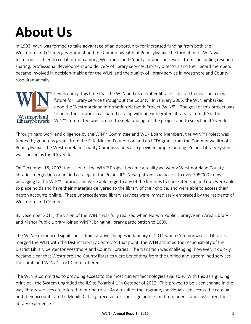# **About Us**

In 1993, WLN was formed to take advantage of an opportunity for increased funding from both the Westmoreland County government and the Commonwealth of Pennsylvania. The formation of WLN was fortuitous as it led to collaboration among Westmoreland County libraries on several fronts, including resource sharing, professional development and delivery of library services. Library directors and their board members became involved in decision-making for the WLN, and the quality of library service in Westmoreland County rose dramatically.



It was during this time that the WLN and its member libraries started to envision a new future for library service throughout the County. In January 2005, the WLN embarked upon the Westmoreland Information Network Project (WIN™). The goal of this project was to unite the libraries in a shared catalog with one integrated library system (ILS). The WIN™ Committee was formed to seek funding for the project and to select an ILS vendor.

Through hard work and diligence by the WIN™ Committee and WLN Board Members, the WIN™ Project was funded by generous grants from the R. K. Mellon Foundation and an LSTA grant from the Commonwealth of Pennsylvania. The Westmoreland County Commissioners also provided ample funding. Polaris Library Systems was chosen as the ILS vendor

On December 18, 2007, the vision of the WIN™ Project became a reality as twenty Westmoreland County libraries merged into a unified catalog on the Polaris ILS. Now, patrons had access to over 795,000 items belonging to the WIN™ libraries and were able to go to any of the libraries to check items in and out, were able to place holds and have their materials delivered to the library of their choice, and were able to access their patron accounts online. These unprecedented library services were immediately embraced by the residents of Westmoreland County.

By December 2011, the vision of the WIN™ was fully realized when Norwin Public Library, Penn Area Library and Manor Public Library joined WIN™, bringing library participation to 100%.

The WLN experienced significant administrative changes in January of 2011 when Commonwealth Libraries merged the WLN with the District Library Center. At that point, the WLN assumed the responsibility of the District Library Center for Westmoreland County libraries. The transition was challenging; however, it quickly became clear that Westmoreland County libraries were benefitting from the unified and streamlined services the combined WLN/District Center offered.

The WLN is committed to providing access to the most current technologies available. With this as a guiding principal, the System upgraded the ILS to Polaris 4.1 in October of 2012. This proved to be a sea change in the way library services are offered to our patrons. As a result of the upgrade, individuals can access the catalog and their accounts via the Mobile Catalog, receive text message notices and reminders, and customize their library experience.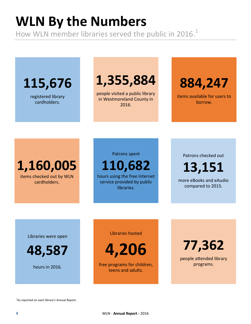# **WLN By the Numbers**

How WLN member libraries served the public in 2016. $<sup>1</sup>$ </sup>

**115,676**

registered library cardholders.

## **1,355,884**

people visited a public library in Westmoreland County in 2016.

**884,247**

items available for users to borrow.

**1,160,005** items checked out by WLN cardholders.

Patrons spent

**110,682**

hours using the free Internet service provided by public libraries.

Patrons checked out

**13,151**

more eBooks and eAudio compared to 2015.

Libraries were open

**48,587**

hours in 2016.

Libraries hosted

**4,206**

free programs for children, teens and adults.

**77,362**

people attended library programs.

<sup>1</sup>As reported on each library's Annual Report.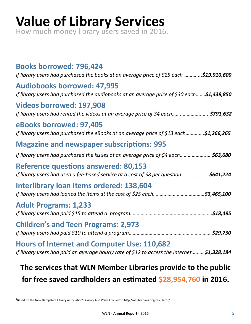# **Value of Library Services**

How much money library users saved in 2016.<sup>1</sup>

| <b>Books borrowed: 796,424</b><br>If library users had purchased the books at an average price of \$25 each \$19,910,600                          |  |  |  |
|---------------------------------------------------------------------------------------------------------------------------------------------------|--|--|--|
| <b>Audiobooks borrowed: 47,995</b><br>If library users had purchased the audiobooks at an average price of \$30 each\$1,439,850                   |  |  |  |
| <b>Videos borrowed: 197,908</b><br>If library users had rented the videos at an average price of \$4 each\$791,632                                |  |  |  |
| eBooks borrowed: 97,405<br>If library users had purchased the eBooks at an average price of \$13 each\$1,266,265                                  |  |  |  |
| <b>Magazine and newspaper subscriptions: 995</b>                                                                                                  |  |  |  |
| If library users had purchased the issues at an average price of \$4 each\$63,680                                                                 |  |  |  |
| <b>Reference questions answered: 80,153</b><br>If library users had used a fee-based service at a cost of \$8 per question\$641,224               |  |  |  |
| Interlibrary loan items ordered: 138,604                                                                                                          |  |  |  |
| <b>Adult Programs: 1,233</b>                                                                                                                      |  |  |  |
| <b>Children's and Teen Programs: 2,973</b>                                                                                                        |  |  |  |
| <b>Hours of Internet and Computer Use: 110,682</b><br>If library users had paid an average hourly rate of \$12 to access the Internet \$1,328,184 |  |  |  |
| The services that WLN Member Libraries provide to the public                                                                                      |  |  |  |
|                                                                                                                                                   |  |  |  |

**for free saved cardholders an estimated \$28,954,760 in 2016.**

1 Based on the New Hampshire Library Association's *Library Use Value Calculator*: http://nhlibrarians.org/calculator/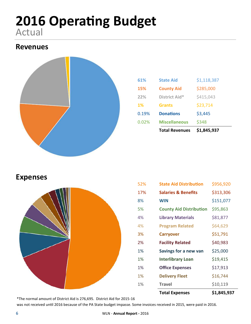### **2016 Operating Budget** Actual

### **Revenues**



|           | <b>Total Revenues</b> | \$1,845,937 |  |
|-----------|-----------------------|-------------|--|
| 0.02%     | <b>Miscellaneous</b>  | \$348       |  |
| 0.19%     | <b>Donations</b>      | \$3,445     |  |
| <b>1%</b> | <b>Grants</b>         | \$23,714    |  |
| 22%       | District Aid*         | \$415,043   |  |
| 15%       | <b>County Aid</b>     | \$285,000   |  |
| 61%       | <b>State Aid</b>      | \$1,118,387 |  |
|           |                       |             |  |

#### **Expenses**



|     | <b>Total Expenses</b>          | \$1,845,937 |
|-----|--------------------------------|-------------|
| 1%  | <b>Travel</b>                  | \$10,119    |
| 1%  | <b>Delivery Fleet</b>          | \$16,744    |
| 1%  | <b>Office Expenses</b>         | \$17,913    |
| 1%  | <b>Interlibrary Loan</b>       | \$19,415    |
| 1%  | Savings for a new van          | \$25,000    |
| 2%  | <b>Facility Related</b>        | \$40,983    |
| 3%  | <b>Carryover</b>               | \$51,791    |
| 4%  | <b>Program Related</b>         | \$64,629    |
| 4%  | <b>Library Materials</b>       | \$81,877    |
| 5%  | <b>County Aid Distribution</b> | \$95,863    |
| 8%  | <b>WIN</b>                     | \$151,077   |
| 17% | <b>Salaries &amp; Benefits</b> | \$313,306   |
| 52% | <b>State Aid Distribution</b>  | \$956,920   |

\*The normal amount of District Aid is 276,695. District Aid for 2015-16

was not received until 2016 because of the PA State budget impasse. Some invoices received in 2015, were paid in 2016.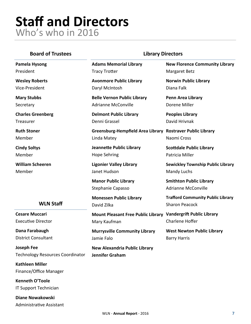### **Staff and Directors** Who's who in 2016

#### **Board of Trustees Library Directors**

**Pamela Hysong** President

**Wesley Roberts** Vice-President

**Mary Stubbs** Secretary

**Charles Greenberg** Treasurer

**Ruth Stoner** Member

**Cindy Soltys** Member

**William Scheeren** Member

**Adams Memorial Library** Tracy Trotter

**Avonmore Public Library** Daryl McIntosh

**Belle Vernon Public Library** Adrianne McConville

**Delmont Public Library** Denni Grassel

**Greensburg-Hempfield Area Library Rostraver Public Library** Linda Matey

**Jeannette Public Library** Hope Sehring

**Ligonier Valley Library** Janet Hudson

**Manor Public Library** Stephanie Capasso

**Monessen Public Library** David Zilka

**Mount Pleasant Free Public Library Vandergrift Public Library** Mary Kaufman

**Murrysville Community Library** Jamie Falo

**New Alexandria Public Library Jennifer Graham**

**New Florence Community Library** Margaret Betz

**Norwin Public Library** Diana Falk

**Penn Area Library** Dorene Miller

**Peoples Library** David Hrivnak

Naomi Cross

**Scottdale Public Library** Patricia Miller

**Sewickley Township Public Library** Mandy Luchs

**Smithton Public Library** Adrianne McConville

**Trafford Community Public Library** Sharon Peacock

Charlene Hoffer

**West Newton Public Library** Barry Harris

#### **WLN Staff**

**Cesare Muccari** Executive Director

**Dana Farabaugh** District Consultant

**Joseph Fee** Technology Resources Coordinator

**Kathleen Miller** Finance/Office Manager

**Kenneth O'Toole** IT Support Technician

**Diane Nowakowski**

Administrative Assistant